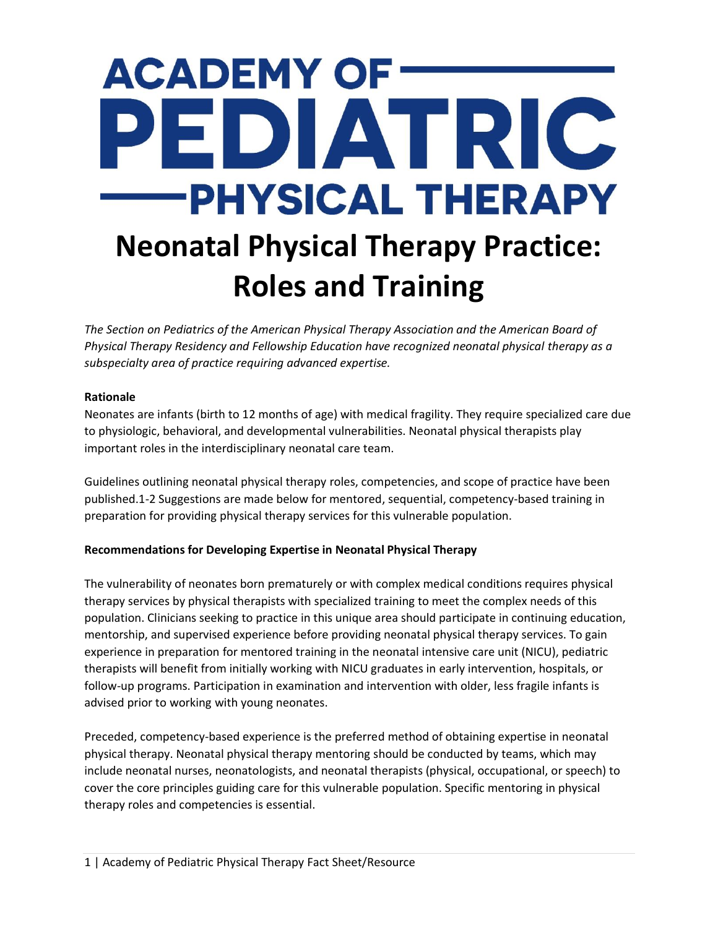# **ACADEMY OF:** EDIATRIC **PHYSICAL THERAPY Neonatal Physical Therapy Practice: Roles and Training**

*The Section on Pediatrics of the American Physical Therapy Association and the American Board of Physical Therapy Residency and Fellowship Education have recognized neonatal physical therapy as a subspecialty area of practice requiring advanced expertise.*

## **Rationale**

Neonates are infants (birth to 12 months of age) with medical fragility. They require specialized care due to physiologic, behavioral, and developmental vulnerabilities. Neonatal physical therapists play important roles in the interdisciplinary neonatal care team.

Guidelines outlining neonatal physical therapy roles, competencies, and scope of practice have been published.1-2 Suggestions are made below for mentored, sequential, competency-based training in preparation for providing physical therapy services for this vulnerable population.

## **Recommendations for Developing Expertise in Neonatal Physical Therapy**

The vulnerability of neonates born prematurely or with complex medical conditions requires physical therapy services by physical therapists with specialized training to meet the complex needs of this population. Clinicians seeking to practice in this unique area should participate in continuing education, mentorship, and supervised experience before providing neonatal physical therapy services. To gain experience in preparation for mentored training in the neonatal intensive care unit (NICU), pediatric therapists will benefit from initially working with NICU graduates in early intervention, hospitals, or follow-up programs. Participation in examination and intervention with older, less fragile infants is advised prior to working with young neonates.

Preceded, competency-based experience is the preferred method of obtaining expertise in neonatal physical therapy. Neonatal physical therapy mentoring should be conducted by teams, which may include neonatal nurses, neonatologists, and neonatal therapists (physical, occupational, or speech) to cover the core principles guiding care for this vulnerable population. Specific mentoring in physical therapy roles and competencies is essential.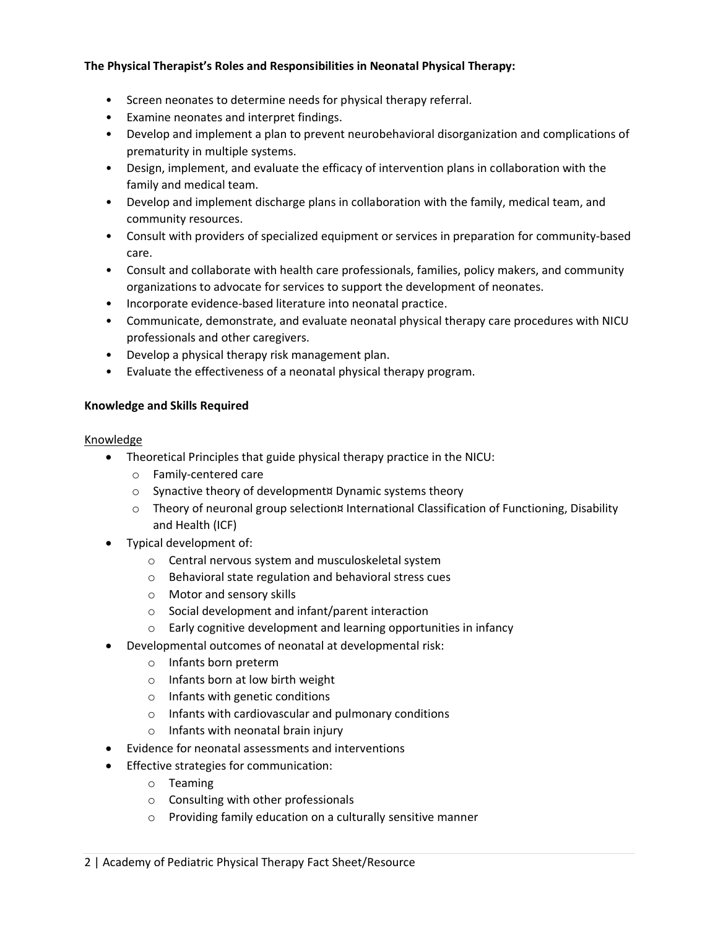## **The Physical Therapist's Roles and Responsibilities in Neonatal Physical Therapy:**

- Screen neonates to determine needs for physical therapy referral.
- Examine neonates and interpret findings.
- Develop and implement a plan to prevent neurobehavioral disorganization and complications of prematurity in multiple systems.
- Design, implement, and evaluate the efficacy of intervention plans in collaboration with the family and medical team.
- Develop and implement discharge plans in collaboration with the family, medical team, and community resources.
- Consult with providers of specialized equipment or services in preparation for community-based care.
- Consult and collaborate with health care professionals, families, policy makers, and community organizations to advocate for services to support the development of neonates.
- Incorporate evidence-based literature into neonatal practice.
- Communicate, demonstrate, and evaluate neonatal physical therapy care procedures with NICU professionals and other caregivers.
- Develop a physical therapy risk management plan.
- Evaluate the effectiveness of a neonatal physical therapy program.

## **Knowledge and Skills Required**

#### Knowledge

- Theoretical Principles that guide physical therapy practice in the NICU:
	- o Family-centered care
	- o Synactive theory of development¤ Dynamic systems theory
	- $\circ$  Theory of neuronal group selection¤ International Classification of Functioning, Disability and Health (ICF)
- Typical development of:
	- o Central nervous system and musculoskeletal system
	- o Behavioral state regulation and behavioral stress cues
	- o Motor and sensory skills
	- o Social development and infant/parent interaction
	- o Early cognitive development and learning opportunities in infancy
- Developmental outcomes of neonatal at developmental risk:
	- o Infants born preterm
	- o Infants born at low birth weight
	- o Infants with genetic conditions
	- o Infants with cardiovascular and pulmonary conditions
	- o Infants with neonatal brain injury
- Evidence for neonatal assessments and interventions
- Effective strategies for communication:
	- o Teaming
	- o Consulting with other professionals
	- o Providing family education on a culturally sensitive manner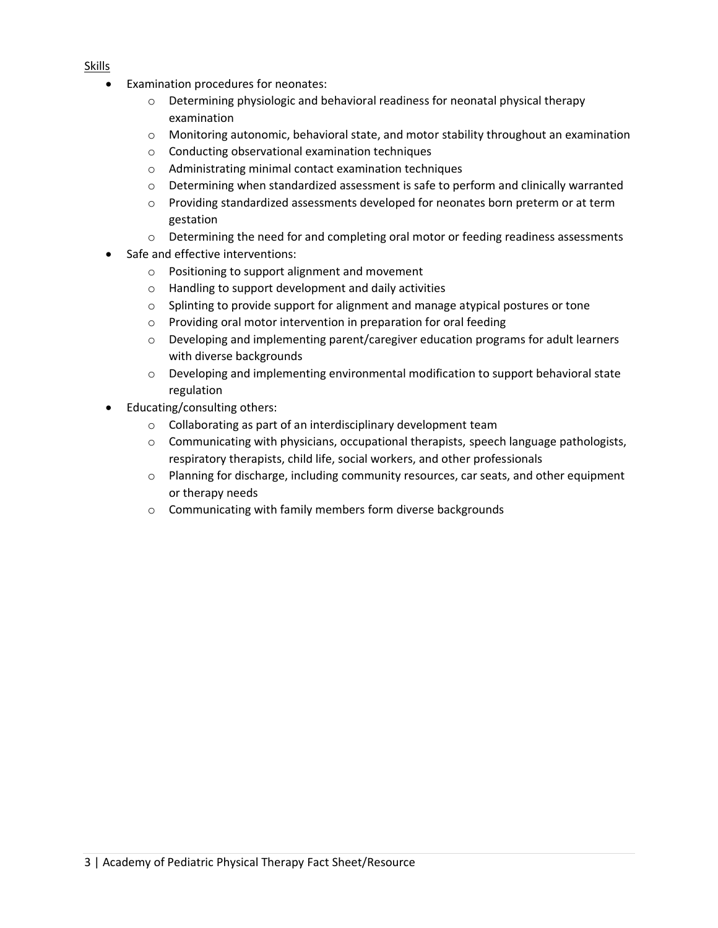- Examination procedures for neonates:
	- o Determining physiologic and behavioral readiness for neonatal physical therapy examination
	- o Monitoring autonomic, behavioral state, and motor stability throughout an examination
	- o Conducting observational examination techniques
	- o Administrating minimal contact examination techniques
	- o Determining when standardized assessment is safe to perform and clinically warranted
	- $\circ$  Providing standardized assessments developed for neonates born preterm or at term gestation
	- o Determining the need for and completing oral motor or feeding readiness assessments
- Safe and effective interventions:
	- o Positioning to support alignment and movement
	- o Handling to support development and daily activities
	- $\circ$  Splinting to provide support for alignment and manage atypical postures or tone
	- o Providing oral motor intervention in preparation for oral feeding
	- $\circ$  Developing and implementing parent/caregiver education programs for adult learners with diverse backgrounds
	- $\circ$  Developing and implementing environmental modification to support behavioral state regulation
- Educating/consulting others:
	- o Collaborating as part of an interdisciplinary development team
	- $\circ$  Communicating with physicians, occupational therapists, speech language pathologists, respiratory therapists, child life, social workers, and other professionals
	- o Planning for discharge, including community resources, car seats, and other equipment or therapy needs
	- o Communicating with family members form diverse backgrounds

### Skills